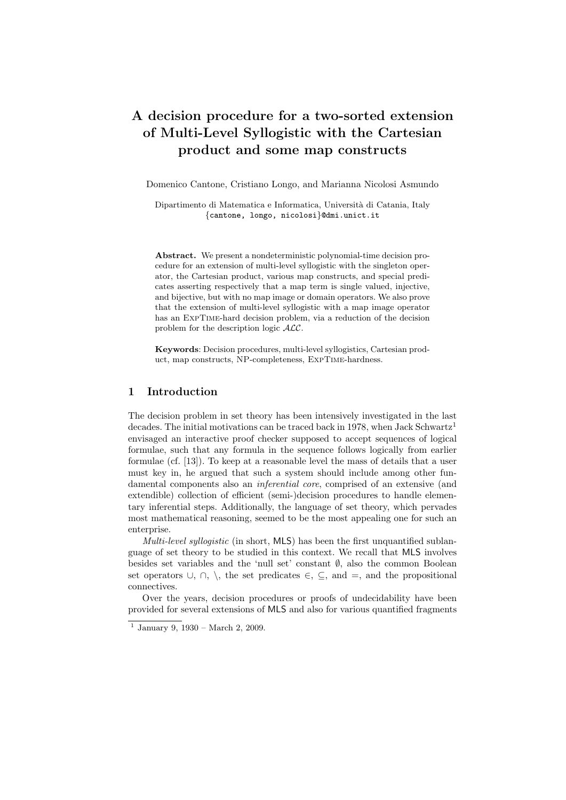# A decision procedure for a two-sorted extension of Multi-Level Syllogistic with the Cartesian product and some map constructs

Domenico Cantone, Cristiano Longo, and Marianna Nicolosi Asmundo

Dipartimento di Matematica e Informatica, Università di Catania, Italy {cantone, longo, nicolosi}@dmi.unict.it

Abstract. We present a nondeterministic polynomial-time decision procedure for an extension of multi-level syllogistic with the singleton operator, the Cartesian product, various map constructs, and special predicates asserting respectively that a map term is single valued, injective, and bijective, but with no map image or domain operators. We also prove that the extension of multi-level syllogistic with a map image operator has an ExpTime-hard decision problem, via a reduction of the decision problem for the description logic ALC.

Keywords: Decision procedures, multi-level syllogistics, Cartesian product, map constructs, NP-completeness, ExpTime-hardness.

# 1 Introduction

The decision problem in set theory has been intensively investigated in the last decades. The initial motivations can be traced back in 1978, when Jack Schwartz<sup>1</sup> envisaged an interactive proof checker supposed to accept sequences of logical formulae, such that any formula in the sequence follows logically from earlier formulae (cf. [13]). To keep at a reasonable level the mass of details that a user must key in, he argued that such a system should include among other fundamental components also an inferential core, comprised of an extensive (and extendible) collection of efficient (semi-)decision procedures to handle elementary inferential steps. Additionally, the language of set theory, which pervades most mathematical reasoning, seemed to be the most appealing one for such an enterprise.

Multi-level syllogistic (in short, MLS) has been the first unquantified sublanguage of set theory to be studied in this context. We recall that MLS involves besides set variables and the 'null set' constant ∅, also the common Boolean set operators  $\cup$ ,  $\cap$ ,  $\setminus$ , the set predicates  $\in$ ,  $\subseteq$ , and  $=$ , and the propositional connectives.

Over the years, decision procedures or proofs of undecidability have been provided for several extensions of MLS and also for various quantified fragments

<sup>1</sup> January 9, 1930 – March 2, 2009.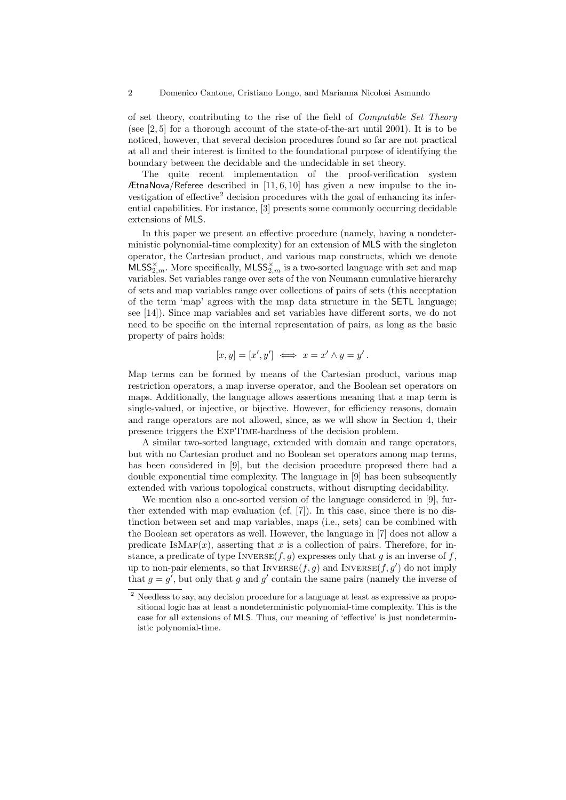of set theory, contributing to the rise of the field of Computable Set Theory (see [2, 5] for a thorough account of the state-of-the-art until 2001). It is to be noticed, however, that several decision procedures found so far are not practical at all and their interest is limited to the foundational purpose of identifying the boundary between the decidable and the undecidable in set theory.

The quite recent implementation of the proof-verification system ÆtnaNova/Referee described in  $[11, 6, 10]$  has given a new impulse to the investigation of effective<sup>2</sup> decision procedures with the goal of enhancing its inferential capabilities. For instance, [3] presents some commonly occurring decidable extensions of MLS.

In this paper we present an effective procedure (namely, having a nondeterministic polynomial-time complexity) for an extension of MLS with the singleton operator, the Cartesian product, and various map constructs, which we denote  $MLSS_{2,m}^{\times}$ . More specifically,  $MLSS_{2,m}^{\times}$  is a two-sorted language with set and map variables. Set variables range over sets of the von Neumann cumulative hierarchy of sets and map variables range over collections of pairs of sets (this acceptation of the term 'map' agrees with the map data structure in the SETL language; see [14]). Since map variables and set variables have different sorts, we do not need to be specific on the internal representation of pairs, as long as the basic property of pairs holds:

$$
[x, y] = [x', y'] \iff x = x' \land y = y'.
$$

Map terms can be formed by means of the Cartesian product, various map restriction operators, a map inverse operator, and the Boolean set operators on maps. Additionally, the language allows assertions meaning that a map term is single-valued, or injective, or bijective. However, for efficiency reasons, domain and range operators are not allowed, since, as we will show in Section 4, their presence triggers the ExpTime-hardness of the decision problem.

A similar two-sorted language, extended with domain and range operators, but with no Cartesian product and no Boolean set operators among map terms, has been considered in [9], but the decision procedure proposed there had a double exponential time complexity. The language in [9] has been subsequently extended with various topological constructs, without disrupting decidability.

We mention also a one-sorted version of the language considered in [9], further extended with map evaluation (cf.  $[7]$ ). In this case, since there is no distinction between set and map variables, maps (i.e., sets) can be combined with the Boolean set operators as well. However, the language in [7] does not allow a predicate  $\text{ISMAP}(x)$ , asserting that x is a collection of pairs. Therefore, for instance, a predicate of type INVERSE $(f, g)$  expresses only that g is an inverse of f, up to non-pair elements, so that  $\text{Inverse}(f, g)$  and  $\text{Inverse}(f, g')$  do not imply that  $g = g'$ , but only that g and g' contain the same pairs (namely the inverse of

 $^2$  Needless to say, any decision procedure for a language at least as expressive as propositional logic has at least a nondeterministic polynomial-time complexity. This is the case for all extensions of MLS. Thus, our meaning of 'effective' is just nondeterministic polynomial-time.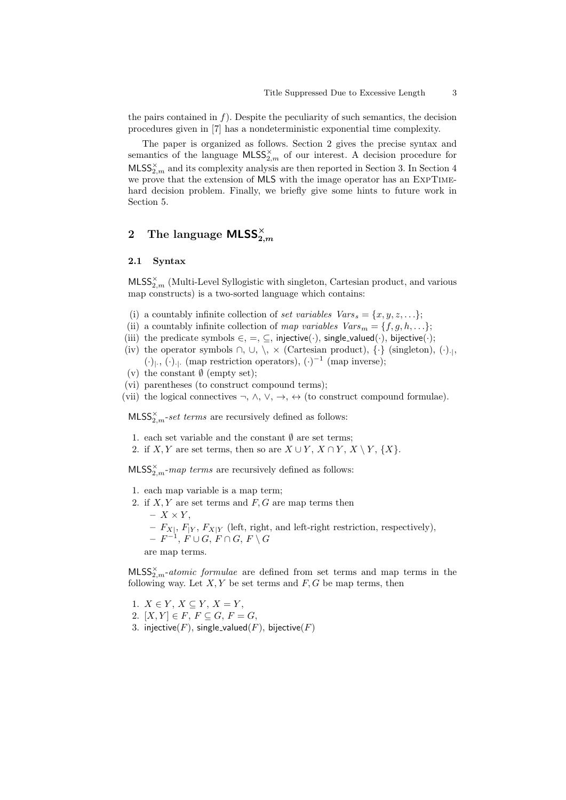the pairs contained in  $f$ ). Despite the peculiarity of such semantics, the decision procedures given in [7] has a nondeterministic exponential time complexity.

The paper is organized as follows. Section 2 gives the precise syntax and semantics of the language  $\textsf{MLSS}_{2,m}^{\times}$  of our interest. A decision procedure for  $\text{MLSS}_{2,m}^{\times}$  and its complexity analysis are then reported in Section 3. In Section 4 we prove that the extension of MLS with the image operator has an ExpTimehard decision problem. Finally, we briefly give some hints to future work in Section 5.

# $2$  The language  $\mathsf{MLSS}^\times_{2,m}$

#### 2.1 Syntax

 $MLSS_{2,m}^{\times}$  (Multi-Level Syllogistic with singleton, Cartesian product, and various map constructs) is a two-sorted language which contains:

- (i) a countably infinite collection of set variables  $Vars_s = \{x, y, z, \ldots\};$
- (ii) a countably infinite collection of map variables  $Vars_m = \{f, g, h, \ldots\};$
- (iii) the predicate symbols  $\in$ ,  $=$ ,  $\subseteq$ , injective(·), single\_valued(·), bijective(·);
- (iv) the operator symbols  $\cap$ ,  $\cup$ ,  $\setminus$ ,  $\times$  (Cartesian product),  $\{\cdot\}$  (singleton),  $(\cdot)_{\cdot},$ (⋅)<sub>|</sub>., (⋅)<sub>-|</sub>. (map restriction operators),  $(·)^{-1}$  (map inverse);
- (v) the constant  $\emptyset$  (empty set);
- (vi) parentheses (to construct compound terms);
- (vii) the logical connectives  $\neg$ ,  $\wedge$ ,  $\vee$ ,  $\rightarrow$ ,  $\leftrightarrow$  (to construct compound formulae).

 $\textsf{MLSS}_{2,m}^{\times}$ -set terms are recursively defined as follows:

- 1. each set variable and the constant  $\emptyset$  are set terms;
- 2. if  $X, Y$  are set terms, then so are  $X \cup Y, X \cap Y, X \setminus Y, \{X\}$ .

 $MLSS_{2,m}^{\times}-map \ terms$  are recursively defined as follows:

- 1. each map variable is a map term;
- 2. if  $X, Y$  are set terms and  $F, G$  are map terms then
	- $X \times Y$ ,
	- $F_{X|}, F_{Y}, F_{X|Y}$  (left, right, and left-right restriction, respectively),
	- $\,\,F^{-1},\, F \cup G,\, F \cap G,\, F \setminus G$

are map terms.

 $MLSS_{2,m}^{\times}$ -atomic formulae are defined from set terms and map terms in the following way. Let  $X, Y$  be set terms and  $F, G$  be map terms, then

- 1.  $X \in Y, X \subseteq Y, X = Y$ ,
- 2.  $[X, Y] \in F$ ,  $F \subseteq G$ ,  $F = G$ ,
- 3. injective(F), single\_valued(F), bijective(F)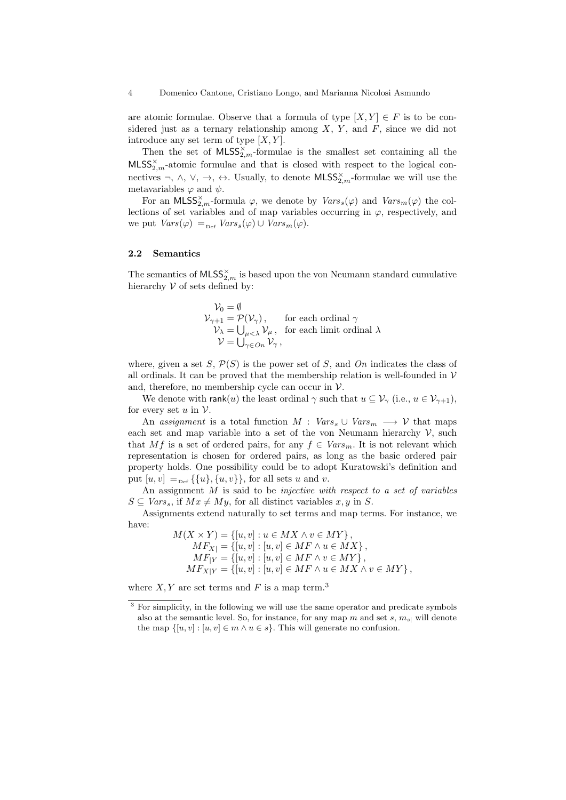are atomic formulae. Observe that a formula of type  $[X, Y] \in F$  is to be considered just as a ternary relationship among  $X, Y$ , and  $F$ , since we did not introduce any set term of type  $[X, Y]$ .

Then the set of  $MLSS^{\times}_{2,m}$ -formulae is the smallest set containing all the  $MLSS_{2,m}^{\times}$ -atomic formulae and that is closed with respect to the logical connectives  $\neg, \wedge, \vee, \rightarrow, \leftrightarrow$ . Usually, to denote  $\mathsf{MLSS}_{2,m}^\times$ -formulae we will use the metavariables  $\varphi$  and  $\psi$ .

For an MLSS<sub>2</sub><sup>x</sup><sub>n</sub>-formula  $\varphi$ , we denote by  $Vars_s(\varphi)$  and  $Vars_m(\varphi)$  the collections of set variables and of map variables occurring in  $\varphi$ , respectively, and we put  $Vars(\varphi) =_{\text{Def}} Vars_s(\varphi) \cup Vars_m(\varphi)$ .

#### 2.2 Semantics

The semantics of  $\textsf{MLSS}_{2,m}^\times$  is based upon the von Neumann standard cumulative hierarchy  ${\mathcal V}$  of sets defined by:

$$
\begin{array}{ll}\n\mathcal{V}_0 = \emptyset \\
\mathcal{V}_{\gamma+1} = \mathcal{P}(\mathcal{V}_{\gamma}), & \text{for each ordinal } \gamma \\
\mathcal{V}_{\lambda} = \bigcup_{\mu < \lambda} \mathcal{V}_{\mu}, & \text{for each limit ordinal } \lambda \\
\mathcal{V} = \bigcup_{\gamma \in On} \mathcal{V}_{\gamma},\n\end{array}
$$

where, given a set S,  $\mathcal{P}(S)$  is the power set of S, and On indicates the class of all ordinals. It can be proved that the membership relation is well-founded in  $V$ and, therefore, no membership cycle can occur in  $V$ .

We denote with rank(u) the least ordinal  $\gamma$  such that  $u \subseteq \mathcal{V}_{\gamma}$  (i.e.,  $u \in \mathcal{V}_{\gamma+1}$ ), for every set  $u$  in  $\mathcal V$ .

An assignment is a total function  $M : Vars_s \cup Vars_m \longrightarrow V$  that maps each set and map variable into a set of the von Neumann hierarchy  $\mathcal{V}$ , such that Mf is a set of ordered pairs, for any  $f \in Vars_m$ . It is not relevant which representation is chosen for ordered pairs, as long as the basic ordered pair property holds. One possibility could be to adopt Kuratowski's definition and put  $[u, v] =_{p \in \{u\}, \{u, v\}\}\$ , for all sets u and v.

An assignment  $M$  is said to be *injective with respect to a set of variables*  $S \subseteq Vars_s$ , if  $Mx \neq My$ , for all distinct variables  $x, y$  in S.

Assignments extend naturally to set terms and map terms. For instance, we have:

$$
M(X \times Y) = \{ [u, v] : u \in MX \land v \in MY \},
$$
  
\n
$$
MF_X = \{ [u, v] : [u, v] \in MF \land u \in MX \},
$$
  
\n
$$
MF_{|Y} = \{ [u, v] : [u, v] \in MF \land v \in MY \},
$$
  
\n
$$
MF_{X|Y} = \{ [u, v] : [u, v] \in MF \land u \in MX \land v \in MY \},
$$

where  $X, Y$  are set terms and F is a map term.<sup>3</sup>

<sup>&</sup>lt;sup>3</sup> For simplicity, in the following we will use the same operator and predicate symbols also at the semantic level. So, for instance, for any map m and set s,  $m_{s}$  will denote the map  $\{[u, v] : [u, v] \in m \land u \in s\}$ . This will generate no confusion.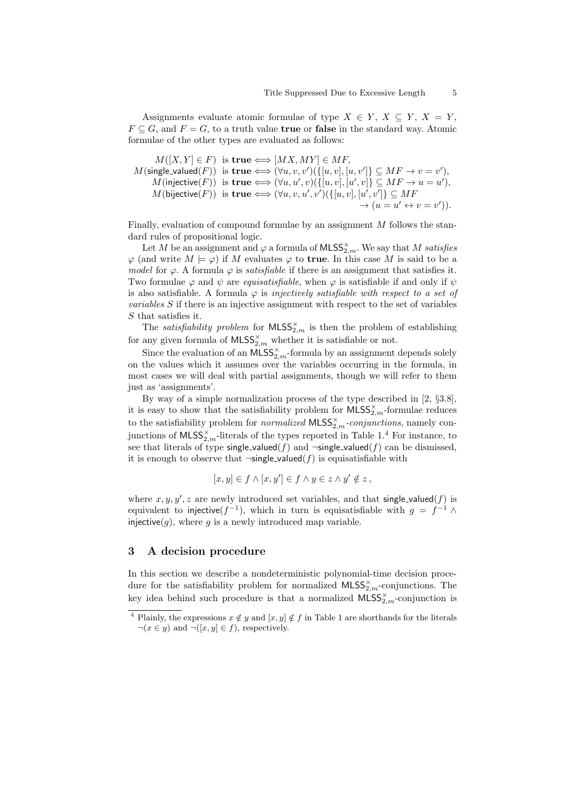Assignments evaluate atomic formulae of type  $X \in Y$ ,  $X \subseteq Y$ ,  $X = Y$ ,  $F \subseteq G$ , and  $F = G$ , to a truth value **true** or **false** in the standard way. Atomic formulae of the other types are evaluated as follows:

$$
M([X, Y] \in F) \text{ is true} \Longleftrightarrow [MX, MY] \in MF,
$$
\n
$$
M(\text{single-valued}(F)) \text{ is true} \Longleftrightarrow (\forall u, v, v')(\{[u, v], [u, v']\} \subseteq MF \rightarrow v = v'),
$$
\n
$$
M(\text{injective}(F)) \text{ is true} \Longleftrightarrow (\forall u, u', v)(\{[u, v], [u', v]\} \subseteq MF \rightarrow u = u'),
$$
\n
$$
M(\text{bijective}(F)) \text{ is true} \Longleftrightarrow (\forall u, v, u', v')(\{[u, v], [u', v']\} \subseteq MF \rightarrow (u = u' \leftrightarrow v = v')).
$$

Finally, evaluation of compound formulae by an assignment  $M$  follows the standard rules of propositional logic.

Let M be an assignment and  $\varphi$  a formula of  $\mathsf{MLSS}^\times_{2,m}$ . We say that M satisfies  $\varphi$  (and write  $M \models \varphi$ ) if M evaluates  $\varphi$  to **true**. In this case M is said to be a model for  $\varphi$ . A formula  $\varphi$  is *satisfiable* if there is an assignment that satisfies it. Two formulae  $\varphi$  and  $\psi$  are *equisatisfiable*, when  $\varphi$  is satisfiable if and only if  $\psi$ is also satisfiable. A formula  $\varphi$  is *injectively satisfiable with respect to a set of* variables S if there is an injective assignment with respect to the set of variables S that satisfies it.

The *satisfiability problem* for  $MLSS_{2,m}^{\times}$  is then the problem of establishing for any given formula of  $Mless_{2,m}^{\times}$  whether it is satisfiable or not.

Since the evaluation of an  $MLSS_{2,m}^{\times}$ -formula by an assignment depends solely on the values which it assumes over the variables occurring in the formula, in most cases we will deal with partial assignments, though we will refer to them just as 'assignments'.

By way of a simple normalization process of the type described in [2, §3.8], it is easy to show that the satisfiability problem for  $MLSS^{\times}_{2,m}$ -formulae reduces to the satisfiability problem for *normalized*  $MLSS^{\times}_{2,m}$ -conjunctions, namely conjunctions of  $\text{MLSS}_{2,m}^{\times}$ -literals of the types reported in Table 1.<sup>4</sup> For instance, to see that literals of type single-valued(f) and  $\neg$ single-valued(f) can be dismissed, it is enough to observe that  $\neg$ single\_valued(f) is equisatisfiable with

$$
[x, y] \in f \land [x, y'] \in f \land y \in z \land y' \notin z,
$$

where  $x, y, y', z$  are newly introduced set variables, and that single-valued(f) is equivalent to injective( $f^{-1}$ ), which in turn is equisatisfiable with  $g = f^{-1} \wedge$ injective(g), where g is a newly introduced map variable.

# 3 A decision procedure

In this section we describe a nondeterministic polynomial-time decision procedure for the satisfiability problem for normalized  $\textsf{MLSS}^{\times}_{2,m}$ -conjunctions. The key idea behind such procedure is that a normalized  $\text{MLSS}_{2,m}^{\times}$ -conjunction is

<sup>&</sup>lt;sup>4</sup> Plainly, the expressions  $x \notin y$  and  $[x, y] \notin f$  in Table 1 are shorthands for the literals  $\neg(x \in y)$  and  $\neg([x, y] \in f)$ , respectively.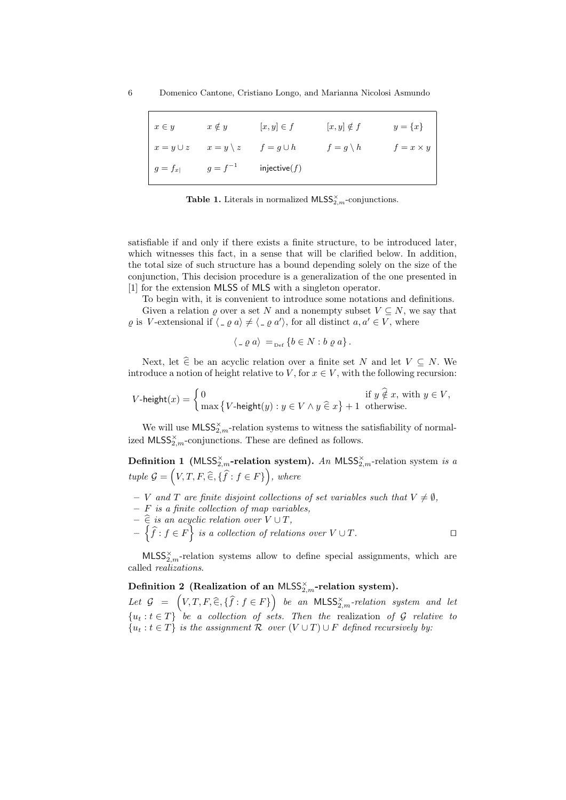| $x \in y$      | $x \notin y$     | $[x, y] \in f$  | $[x, y] \notin f$   | $y = \{x\}$      |
|----------------|------------------|-----------------|---------------------|------------------|
| $x = y \cup z$ | $x=y\setminus z$ | $f = g \cup h$  | $f = g \setminus h$ | $f = x \times y$ |
| $g=f_{x}$      | $g = f^{-1}$     | injective $(f)$ |                     |                  |

**Table 1.** Literals in normalized  $MLSS^{\times}_{2,m}$ -conjunctions.

satisfiable if and only if there exists a finite structure, to be introduced later, which witnesses this fact, in a sense that will be clarified below. In addition, the total size of such structure has a bound depending solely on the size of the conjunction, This decision procedure is a generalization of the one presented in [1] for the extension MLSS of MLS with a singleton operator.

To begin with, it is convenient to introduce some notations and definitions. Given a relation  $\rho$  over a set N and a nonempty subset  $V \subseteq N$ , we say that  $\varrho$  is V-extensional if  $\langle \varrho \varrho a \rangle \neq \langle \varrho a' \rangle$ , for all distinct  $a, a' \in V$ , where

$$
\langle \, \_ \varrho \, a \rangle \, =_{\text{Def}} \{ b \in N : b \varrho \, a \} \, .
$$

Next, let  $\hat{\epsilon}$  be an acyclic relation over a finite set N and let  $V \subseteq N$ . We introduce a notion of height relative to V, for  $x \in V$ , with the following recursion:

$$
V\text{-height}(x) = \left\{\begin{aligned} 0 & \text{if } y \; \widehat{\notin} \; x, \text{ with } y \in V, \\ \max \left\{V\text{-height}(y): y \in V \land y \; \widehat{\in} \; x \right\} + 1 & \text{otherwise.} \end{aligned}\right.
$$

We will use  $\mathsf{MLSS}^\times_{2,m}\text{-relation systems}$  to witness the satisfiability of normalized  $\text{MLSS}_{2,m}^{\times}$ -conjunctions. These are defined as follows.

**Definition 1** (MLSS<sub>2,m</sub>-relation system). An MLSS<sub>2,m</sub>-relation system is a tuple  $G = (V, T, F, \widehat{\in}, \{\widehat{f} : f \in F\})$ , where

- V and T are finite disjoint collections of set variables such that  $V \neq \emptyset$ ,
- $-$  F is a finite collection of map variables,
- $-\hat{\epsilon}$  is an acyclic relation over  $V \cup T$ ,
- $-\left\{\widehat{f}: f \in F\right\}$  is a collection of relations over  $V \cup T$ .

 $MLSS_{2,m}^{\times}$ -relation systems allow to define special assignments, which are called realizations.

# Definition 2 (Realization of an MLSS $_{2,m}^{\times}$ -relation system).

Let  $G = (V, T, F, \widehat{\in}, \{\widehat{f} : f \in F\})$  be an MLSS<sub>2,m</sub>-relation system and let  ${u_t : t \in T}$  be a collection of sets. Then the realization of G relative to  ${u_t : t \in T}$  is the assignment R over  $(V \cup T) \cup F$  defined recursively by: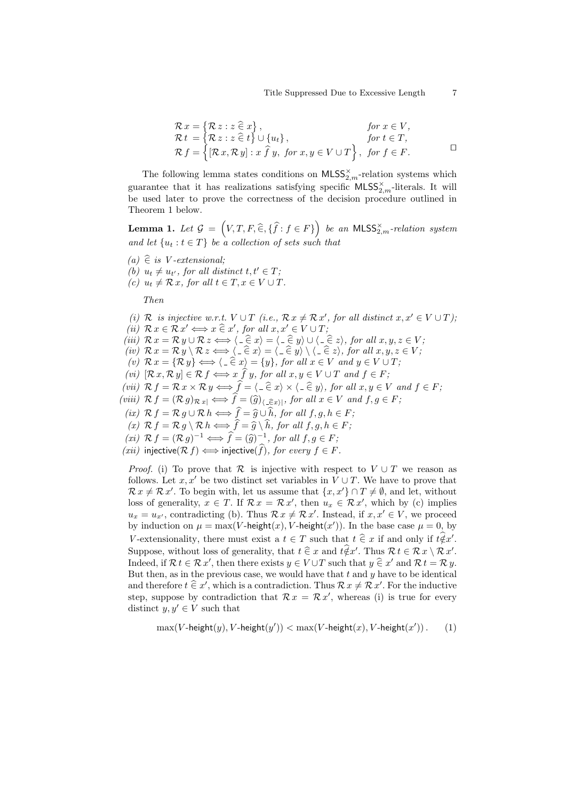Title Suppressed Due to Excessive Length 7

$$
\mathcal{R}x = \{\mathcal{R}z : z \in x\}, \qquad \text{for } x \in V, \mathcal{R}t = \{\mathcal{R}z : z \in t\} \cup \{u_t\}, \qquad \text{for } t \in T, \mathcal{R}f = \{[\mathcal{R}x, \mathcal{R}y] : x \hat{f}y, \text{ for } x, y \in V \cup T\}, \text{ for } f \in F.
$$

The following lemma states conditions on  $\textsf{MLSS}^{\times}_{2,m}$ -relation systems which guarantee that it has realizations satisfying specific  $\textsf{MLSS}^{\times}_{2,m}$ -literals. It will be used later to prove the correctness of the decision procedure outlined in Theorem 1 below.

**Lemma 1.** Let  $\mathcal{G} = (V, T, F, \hat{\in}, \{\hat{f} : f \in F\})$  be an MLSS<sub>2,m</sub>-relation system and let  $\{u_t : t \in T\}$  be a collection of sets such that

- $(a) \hat{\in}$  is V-extensional;
- (b)  $u_t \neq u_{t'}$ , for all distinct  $t, t' \in T$ ;
- (c)  $u_t \neq \mathcal{R} x$ , for all  $t \in T, x \in V \cup T$ .

Then

- (i) R is injective w.r.t.  $V \cup T$  (i.e.,  $\mathcal{R} x \neq \mathcal{R} x'$ , for all distinct  $x, x' \in V \cup T$ );
- (ii)  $\mathcal{R} x \in \mathcal{R} x' \Longleftrightarrow x \in \mathcal{X}'$ , for all  $x, x' \in V \cup T$ ;<br>(iii)  $\mathcal{R} x = \mathcal{R} x \cup \mathcal{R} x \Longleftrightarrow (\infty \in \mathcal{R} x) \cup (\infty \in \mathcal{R} x) \cup (\infty \in \mathcal{R} x)$
- (iii)  $\mathcal{R} x = \mathcal{R} y \cup \mathcal{R} z \Longleftrightarrow \langle \underline{\cdot} \widehat{\in} x \rangle = \langle \underline{\cdot} \widehat{\in} y \rangle \cup \langle \underline{\cdot} \widehat{\in} z \rangle$ , for all  $x, y, z \in V$ ;
- (iv)  $\mathcal{R} x = \mathcal{R} y \setminus \mathcal{R} z \Longleftrightarrow \langle -\hat{\in} x \rangle = \langle -\hat{\in} y \rangle \setminus \langle -\hat{\in} z \rangle$ , for all  $x, y, z \in V$ ;
- (v)  $\mathcal{R} x = {\mathcal{R} y} \Longleftrightarrow \langle -\widehat{\in} x \rangle = {y}$ , for all  $x \in V$  and  $y \in V \cup T$ ;
- (vi)  $[\mathcal{R} x, \mathcal{R} y] \in \mathcal{R} f \Longleftrightarrow x \hat{f} y$ , for all  $x, y \in V \cup T$  and  $f \in F$ ;
- (vii)  $\mathcal{R} f = \mathcal{R} x \times \mathcal{R} y \Longleftrightarrow \widehat{f} = \langle \underline{\ } \widehat{\in} x \rangle \times \langle \underline{\ } \widehat{\in} y \rangle$ , for all  $x, y \in V$  and  $f \in F$ ;
- (viii)  $\mathcal{R} f = (\mathcal{R} g)_{\mathcal{R} x} \iff \tilde{f} = (\hat{g})_{\langle \hat{=} \hat{\epsilon} x \rangle}$ , for all  $x \in V$  and  $f, g \in F$ ;
	- (ix)  $\mathcal{R} f = \mathcal{R} g \cup \mathcal{R} h \Longleftrightarrow \hat{f} = \hat{g} \cup \hat{h}$ , for all  $f, g, h \in F$ ;
	-
- (x)  $\mathcal{R} f = \mathcal{R} g \setminus \mathcal{R} h \Longleftrightarrow f = \widehat{g} \setminus h$ , for all  $f, g, h \in F$ ;<br>
(xi)  $\mathcal{R} f = (\mathcal{R} g)^{-1} \Longleftrightarrow \widehat{f} = (\widehat{g})^{-1}$ , for all  $f, g \in F$ ;<br>
(gii) injective( $\mathcal{R} f \setminus \emptyset$ ) injective( $\widehat{f}$ ) for gyang  $f \in F$ ;
- $(xii)$  injective( $\mathcal{R} f$ )  $\Longleftrightarrow$  injective(f), for every  $f \in F$ .

*Proof.* (i) To prove that R is injective with respect to  $V \cup T$  we reason as follows. Let x, x' be two distinct set variables in  $V \cup T$ . We have to prove that  $\mathcal{R} x \neq \mathcal{R} x'$ . To begin with, let us assume that  $\{x, x'\} \cap T \neq \emptyset$ , and let, without loss of generality,  $x \in T$ . If  $\mathcal{R} x = \mathcal{R} x'$ , then  $u_x \in \mathcal{R} x'$ , which by (c) implies  $u_x = u_{x'}$ , contradicting (b). Thus  $\mathcal{R} x \neq \mathcal{R} x'$ . Instead, if  $x, x' \in V$ , we proceed by induction on  $\mu = \max(V\text{-height}(x), V\text{-height}(x'))$ . In the base case  $\mu = 0$ , by V-extensionality, there must exist a  $t \in T$  such that  $t \in x$  if and only if  $t \notin x'$ . Suppose, without loss of generality, that  $t \in \mathcal{X}$  and  $t \notin \mathcal{X}'$ . Thus  $\mathcal{R} t \in \mathcal{R} x \setminus \mathcal{R} x'$ . Indeed, if  $\mathcal{R} t \in \mathcal{R} x'$ , then there exists  $y \in V \cup T$  such that  $y \in x'$  and  $\mathcal{R} t = \mathcal{R} y$ .<br>Put then so in the preview sees, we would have that t and y have to be identical But then, as in the previous case, we would have that  $t$  and  $y$  have to be identical and therefore  $t \in x'$ , which is a contradiction. Thus  $\mathcal{R} x \neq \mathcal{R} x'$ . For the inductive step, suppose by contradiction that  $\mathcal{R} x = \mathcal{R} x'$ , whereas (i) is true for every distinct  $y, y' \in V$  such that

$$
\max(V\text{-height}(y), V\text{-height}(y')) < \max(V\text{-height}(x), V\text{-height}(x'))\,. \tag{1}
$$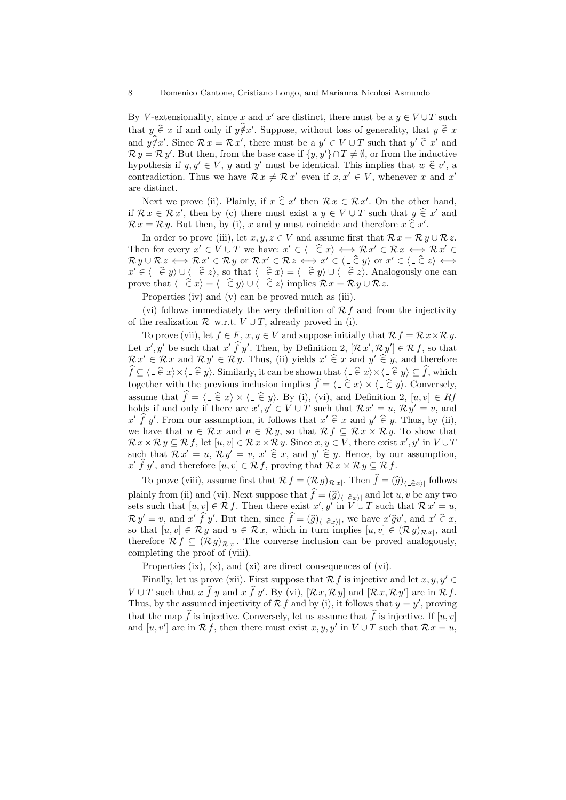By V-extensionality, since x and x' are distinct, there must be a  $y \in V \cup T$  such that  $y \in \mathcal{X}$  if and only if  $y \notin x'$ . Suppose, without loss of generality, that  $y \in \mathcal{X}$ and  $y \notin x'$ . Since  $\mathcal{R} x = \mathcal{R} x'$ , there must be a  $y' \in V \cup T$  such that  $y' \in x'$  and  $\mathcal{R} y = \mathcal{R} y'$ . But then, from the base case if  $\{y, y'\} \cap T \neq \emptyset$ , or from the inductive hypothesis if  $y, y' \in V$ , y and y' must be identical. This implies that  $w \in v'$ , a<br>contradiction. Thus we have  $\mathcal{R} \times \mathcal{R}$  of such if  $\mathcal{R} \times \mathcal{L} \subseteq V$ , wherever  $\mathcal{R} \times \mathcal{R}$ contradiction. Thus we have  $\mathcal{R} x \neq \mathcal{R} x'$  even if  $x, x' \in V$ , whenever x and x' are distinct.

Next we prove (ii). Plainly, if  $x \in x'$  then  $\mathcal{R} x \in \mathcal{R} x'$ . On the other hand, if  $\mathcal{R} x \in \mathcal{R} x'$ , then by (c) there must exist a  $y \in V \cup T$  such that  $y \in x'$  and  $\mathcal{R} x = \mathcal{R} y$ . But then, by (i), x and y must coincide and therefore  $x \in x'$ .

In order to prove (iii), let  $x, y, z \in V$  and assume first that  $\mathcal{R} x = \mathcal{R} y \cup \mathcal{R} z$ . Then for every  $x' \in V \cup T$  we have:  $x' \in \langle \square \widehat{\in} x \rangle \Longleftrightarrow \mathcal{R} x' \in \mathcal{R} x \Longleftrightarrow \mathcal{R} x' \in \mathcal{R}$ <br>  $\mathcal{R} \cup \mathcal{R} \cup \{ \square \} \cup \{ \square \} \cup \{ \square \} \cup \{ \square \} \cup \{ \square \} \cup \{ \square \} \cup \{ \square \} \cup \{ \square \} \cup \{ \square \} \cup \{ \square \} \cup \{ \square \} \cup \{ \square \} \cup \{ \square \} \cup \{ \square \$  $\mathcal{R} y \cup \mathcal{R} z \Longleftrightarrow \mathcal{R} x' \in \mathcal{R} y$  or  $\mathcal{R} x' \in \mathcal{R} z \Longleftrightarrow x' \in \langle \hat{-\xi} y \rangle$  or  $x' \in \langle \hat{-\xi} z \rangle \Longleftrightarrow$  $x' \in \langle \underline{\hspace{1mm}} \in y \rangle \cup \langle \underline{\hspace{1mm}} \in z \rangle$ , so that  $\langle \underline{\hspace{1mm}} \in x \rangle = \langle \underline{\hspace{1mm}} \in y \rangle \cup \langle \underline{\hspace{1mm}} \in z \rangle$ . Analogously one can prove that  $\langle \hat{=} \hat{\epsilon} \hat{x} \rangle = \langle \hat{\epsilon} \hat{y} \rangle \cup \langle \hat{\epsilon} \hat{z} \rangle$  implies  $\mathcal{R} x = \mathcal{R} y \cup \mathcal{R} z$ .

Properties (iv) and (v) can be proved much as (iii).

(vi) follows immediately the very definition of  $\mathcal{R} f$  and from the injectivity of the realization  $\mathcal R$  w.r.t.  $V \cup T$ , already proved in (i).

To prove (vii), let  $f \in F$ ,  $x, y \in V$  and suppose initially that  $\mathcal{R} f = \mathcal{R} x \times \mathcal{R} y$ . Let  $x', y'$  be such that  $x' \in \mathcal{F}$  y'. Then, by Definition 2,  $[\mathcal{R} x', \mathcal{R} y'] \in \mathcal{R} f$ , so that  $\mathcal{R} x' \in \mathcal{R} x$  and  $\mathcal{R} y' \in \mathcal{R} y$ . Thus, (ii) yields  $x' \in \mathcal{X}$  and  $y' \in \mathcal{Y}$ , and therefore  $\widehat{f}\subseteq \langle \underline{\ } \in \widehat{\in} \ x \rangle \times \langle \underline{\ } \in \widehat{\in} \ y \rangle.$  Similarly, it can be shown that  $\langle \underline{\ } \in \widehat{\in} \ x \rangle \times \langle \underline{\ } \in \widehat{\in} \ y \rangle \subseteq \widehat{f}$ , which together with the previous inclusion implies  $\hat{f} = \langle \hat{f} \rangle \times \langle \hat{f} \hat{g} \rangle$ . Conversely, assume that  $\hat{f} = \langle \hat{=} \hat{\epsilon} \hat{x} \rangle \times \langle \hat{=} \hat{\epsilon} \hat{y} \rangle$ . By (i), (vi), and Definition 2,  $[u, v] \in Rf$ holds if and only if there are  $x', y' \in V \cup T$  such that  $\mathcal{R} x' = u, \mathcal{R} y' = v$ , and  $x' \hat{f} y'$ . From our assumption, it follows that  $x' \hat{\epsilon} x$  and  $y' \hat{\epsilon} y$ . Thus, by (ii), we have that  $u \in \mathcal{R} x$  and  $v \in \mathcal{R} y$ , so that  $\mathcal{R} f \subseteq \mathcal{R} x \times \mathcal{R} y$ . To show that  $\mathcal{R} x \times \mathcal{R} y \subseteq \mathcal{R} f$ , let  $[u, v] \in \mathcal{R} x \times \mathcal{R} y$ . Since  $x, y \in V$ , there exist  $x', y'$  in  $V \cup T$ such that  $\mathcal{R} x' = u$ ,  $\mathcal{R} y' = v$ ,  $x' \in x$ , and  $y' \in y$ . Hence, by our assumption,  $x' \hat{f}$   $y'$ , and therefore  $[u, v] \in \mathcal{R} f$ , proving that  $\mathcal{R} x \times \mathcal{R} y \subseteq \mathcal{R} f$ .

To prove (viii), assume first that  $\mathcal{R} f = (\mathcal{R} g)_{\mathcal{R} x}$ . Then  $f = (\widehat{g})_{\langle \underline{\ell} \in x \rangle}$  follows plainly from (ii) and (vi). Next suppose that  $f = (\hat{g})_{\langle \_\in \widehat{\in} x \rangle}$  and let  $u, v$  be any two sets such that  $[u, v] \in \mathcal{R} f$ . Then there exist  $x', y'$  in  $V \cup T$  such that  $\mathcal{R} x' = u$ ,  $\mathcal{R} y' = v$ , and  $x' \hat{f} y'$ . But then, since  $\hat{f} = (\hat{g})_{\langle \hat{f} \in \mathcal{E} \rangle}$ , we have  $x' \hat{g} v'$ , and  $x' \hat{\in} x$ , so that  $[u, v] \in \mathcal{R} g$  and  $u \in \mathcal{R} x$ , which in turn implies  $[u, v] \in (\mathcal{R} g)_{\mathcal{R} x}$ , and therefore  $\mathcal{R} f \subseteq (\mathcal{R} g)_{\mathcal{R} x}$ . The converse inclusion can be proved analogously, completing the proof of (viii).

Properties (ix), (x), and (xi) are direct consequences of (vi).

Finally, let us prove (xii). First suppose that  $\mathcal{R} f$  is injective and let  $x, y, y' \in$  $V \cup T$  such that  $x \hat{f} y$  and  $x \hat{f} y'$ . By (vi),  $[\mathcal{R} x, \mathcal{R} y]$  and  $[\mathcal{R} x, \mathcal{R} y']$  are in  $\mathcal{R} f$ . Thus, by the assumed injectivity of  $\mathcal{R} f$  and by (i), it follows that  $y = y'$ , proving that the map  $\hat{f}$  is injective. Conversely, let us assume that  $\hat{f}$  is injective. If  $[u, v]$ and  $[u, v']$  are in  $\mathcal{R} f$ , then there must exist  $x, y, y'$  in  $V \cup T$  such that  $\mathcal{R} x = u$ ,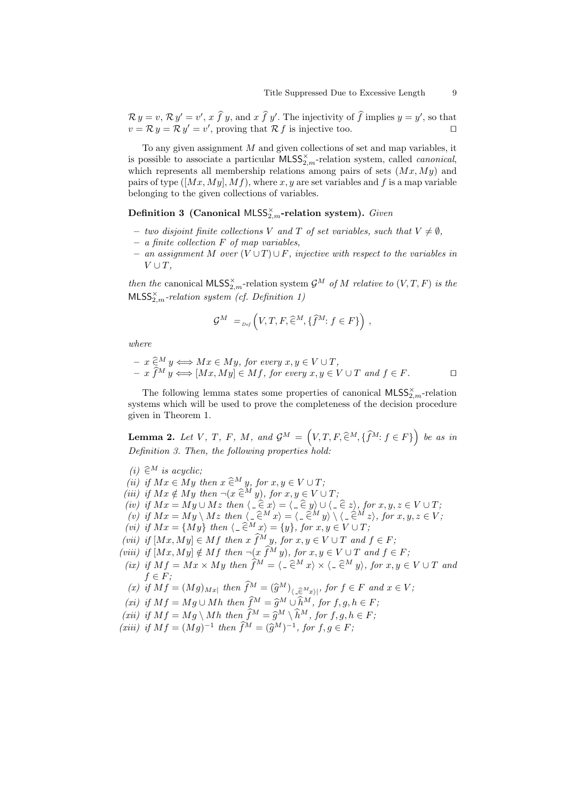$\mathcal{R} y = v$ ,  $\mathcal{R} y' = v'$ ,  $x \hat{f} y$ , and  $x \hat{f} y'$ . The injectivity of  $\hat{f}$  implies  $y = y'$ , so that  $v = \mathcal{R} y = \mathcal{R} y' = v'$ , proving that  $\mathcal{R} f$  is injective too.

To any given assignment  $M$  and given collections of set and map variables, it is possible to associate a particular  $\textsf{MLSS}_{2,m}^\times$ -relation system, called *canonical*, which represents all membership relations among pairs of sets  $(Mx, My)$  and pairs of type  $([Mx, My], Mf)$ , where x, y are set variables and f is a map variable belonging to the given collections of variables.

Definition 3 (Canonical MLSS<sub>2,m</sub>-relation system). Given

- two disjoint finite collections V and T of set variables, such that  $V \neq \emptyset$ ,
- $-$  a finite collection  $F$  of map variables,
- an assignment M over  $(V \cup T) \cup F$ , injective with respect to the variables in  $V \cup T$ ,

then the canonical MLSS<sub>2,m</sub>-relation system  $\mathcal{G}^M$  of M relative to  $(V, T, F)$  is the  $MLSS^{\times}_{2,m}$ -relation system (cf. Definition 1)

$$
\mathcal{G}^M =_{\text{Def}} \left( V, T, F, \widehat{\in}^M, \{ \widehat{f}^M : f \in F \} \right),
$$

where

$$
- x \widehat{\in}^M y \Longleftrightarrow Mx \in My, \text{ for every } x, y \in V \cup T,
$$
  

$$
- x \widehat{f}^M y \Longleftrightarrow [Mx, My] \in Mf, \text{ for every } x, y \in V \cup T \text{ and } f \in F.
$$

The following lemma states some properties of canonical  $\mathsf{MLSS}^{\times}_{2,m}$ -relation systems which will be used to prove the completeness of the decision procedure given in Theorem 1.

**Lemma 2.** Let V, T, F, M, and  $\mathcal{G}^M = (V, T, F, \hat{\in}^M, {\hat{f}^M : f \in F})$  be as in Definition 3. Then, the following properties hold:

- (i)  $\hat{\in}^M$  is acyclic;
- (ii) if  $Mx \in My$  then  $x \in M$  y, for  $x, y \in V \cup T$ ;
- (iii) if  $Mx \notin My$  then  $\neg(x \in M y)$ , for  $x, y \in V \cup T$ ;
- (iv) if  $Mx = My \cup Mz$  then  $\langle -\hat{\epsilon} x \rangle = \langle -\hat{\epsilon} y \rangle \cup \langle -\hat{\epsilon} z \rangle$ , for  $x, y, z \in V \cup T$ ;<br>(a) if  $Mx = My \cup Mz$  then  $\langle -\hat{\epsilon} M x \rangle = \langle -\hat{\epsilon} M y \rangle \cup \langle -\hat{\epsilon} M y \rangle$  for  $x, y, z \in V$
- (v) if  $Mx = My \setminus Mz$  then  $\langle -\hat{\in}^M x \rangle = \langle -\hat{\in}^M y \rangle \setminus \langle -\hat{\in}^M z \rangle$ , for  $x, y, z \in V$ ;<br>(ii) if  $M_{\infty} = \{ M_{\infty} \}$  then  $\langle -\hat{\in}^M x \rangle = \{ y \}$  for  $x, y, z \in V$ ;
- (vi) if  $Mx = \{My\}$  then  $\langle \_ \in^M x \rangle = \{y\}$ , for  $x, y \in V \cup T$ ;
- (vii) if  $[Mx, My] \in Mf$  then  $x \hat{f}^M y$ , for  $x, y \in V \cup T$  and  $f \in F$ ;
- (viii) if  $[Mx, My] \notin Mf$  then  $\neg(x \hat{f}^M y)$ , for  $x, y \in V \cup T$  and  $f \in F$ ;
- (ix) if  $Mf = Mx \times My$  then  $\hat{f}^M = \langle \hat{=}^M x \rangle \times \langle \hat{=}^M y \rangle$ , for  $x, y \in V \cup T$  and  $f \in F$ ;
- (x) if  $Mf = (Mg)_{Mx}$  then  $f^M = (\hat{g}^M)_{\substack{\in \\ G M}}$ , for  $f \in F$  and  $x \in V$ ;
- (xi) if  $Mf = Mg \cup Mh$  then  $\hat{f}^M = \hat{g}^M \cup \hat{h}^M$ , for  $f, g, h \in F;$ <br>(iii) if  $Mf = M \cup Mh$  then  $\hat{f}^M = \hat{g}^M \cup \hat{h}^M$ , for  $f, g, h \in F$ ;
- (xii) if  $Mf = Mg \setminus Mh$  then  $\hat{f}^M = \hat{g}^M \setminus \hat{h}^M$ , for  $f, g, h \in F$ ;<br>(iii) if  $Mf = (M)$  = 1 thus  $\hat{f}^M = (\hat{g}^M)^{-1}$  for  $f, g \in F$ ;
- (xiii) if  $Mf = (Mg)^{-1}$  then  $\hat{f}^M = (\hat{g}^M)^{-1}$ , for  $f, g \in F$ ;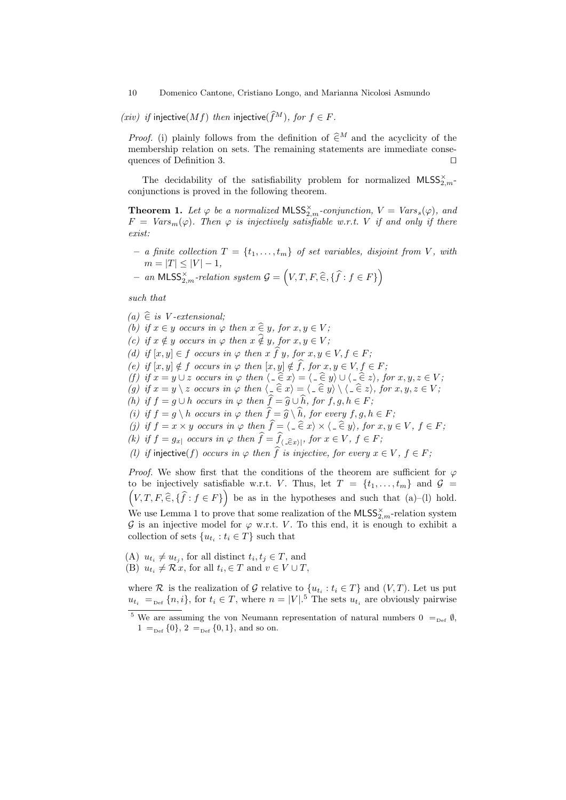10 Domenico Cantone, Cristiano Longo, and Marianna Nicolosi Asmundo

(xiv) if injective(Mf) then injective( $\widehat{f}^M$ ), for  $f \in F$ .

*Proof.* (i) plainly follows from the definition of  $\hat{\in}^M$  and the acyclicity of the membership relation on sets. The remaining statements are immediate consequences of Definition 3.  $\Box$ 

The decidability of the satisfiability problem for normalized  $MLSS_{2,m}^{\times}$ conjunctions is proved in the following theorem.

**Theorem 1.** Let  $\varphi$  be a normalized MLSS<sub>2,m</sub>-conjunction,  $V = Vars_s(\varphi)$ , and  $F = Vars_m(\varphi)$ . Then  $\varphi$  is injectively satisfiable w.r.t. V if and only if there exist:

- a finite collection  $T = \{t_1, \ldots, t_m\}$  of set variables, disjoint from V, with  $m = |T| \leq |V| - 1,$
- $-$  an MLSS<sub>2</sub><sup>x</sup><sub>m</sub>-relation system  $\mathcal{G} = (V, T, F, \widehat{\in}, \{\widehat{f}: f \in F\})$

such that

 $(a) \hat{\in}$  is V-extensional; (b) if  $x \in y$  occurs in  $\varphi$  then  $x \in y$ , for  $x, y \in V$ ; (c) if  $x \notin y$  occurs in  $\varphi$  then  $x \notin y$ , for  $x, y \in V$ ; (d) if  $[x, y] \in f$  occurs in  $\varphi$  then  $x \hat{f} y$ , for  $x, y \in V, f \in F$ ; (e) if  $[x, y] \notin f$  occurs in  $\varphi$  then  $[x, y] \notin \widehat{f}$ , for  $x, y \in V, f \in F$ ; (f) if  $x = y \cup z$  occurs in  $\varphi$  then  $\langle -\hat{\epsilon} x \rangle = \langle -\hat{\epsilon} y \rangle \cup \langle -\hat{\epsilon} z \rangle$ , for  $x, y, z \in V$ ;<br>(a) if  $x = y \setminus z$  excurs in  $\langle z \rangle$  then  $\langle -\hat{\epsilon} x \rangle = \langle -\hat{\epsilon} y \rangle \cup \langle -\hat{\epsilon} z \rangle$ , for  $x, y, z \in V$ ; (g) if  $x = y \setminus z$  occurs in  $\varphi$  then  $\langle -\hat{\epsilon} x \rangle = \langle -\hat{\epsilon} y \rangle \setminus \langle -\hat{\epsilon} z \rangle$ , for  $x, y, z \in V$ ; (h) if  $f = g \cup h$  occurs in  $\varphi$  then  $\widehat{f} = \widehat{g} \cup \widehat{h}$ , for  $f, g, h \in F$ ; (i) if  $f = g \ h$  occurs in  $\varphi$  then  $\widehat{f} = \widehat{g} \ h$ , for every  $f, g, h \in F$ ; (j) if  $f = x \times y$  occurs in  $\varphi$  then  $f = \langle -\hat{\epsilon} x \rangle \times \langle -\hat{\epsilon} y \rangle$ , for  $x, y \in V$ ,  $f \in F$ ; (k) if  $f = g_{x}$  occurs in  $\varphi$  then  $f = f_{\langle \varphi | \in x \rangle}$ , for  $x \in V, f \in F$ ; (l) if injective(f) occurs in  $\varphi$  then  $\hat{f}$  is injective, for every  $x \in V$ ,  $f \in F$ ; *Proof.* We show first that the conditions of the theorem are sufficient for  $\varphi$ to be injectively satisfiable w.r.t. V. Thus, let  $T = \{t_1, \ldots, t_m\}$  and  $\mathcal{G} =$  $(V, T, F, \hat{\in}, \{\hat{f} : f \in F\})$  be as in the hypotheses and such that (a)–(l) hold.

We use Lemma 1 to prove that some realization of the  $\text{MLSS}_{2,m}^{\times}$ -relation system G is an injective model for  $\varphi$  w.r.t. V. To this end, it is enough to exhibit a collection of sets  $\{u_{t_i}: t_i \in T\}$  such that

(A)  $u_{t_i} \neq u_{t_j}$ , for all distinct  $t_i, t_j \in T$ , and (B)  $u_{t_i} \neq \mathcal{R} x$ , for all  $t_i \in T$  and  $v \in V \cup T$ ,

where R is the realization of G relative to  $\{u_{t_i}: t_i \in T\}$  and  $(V, T)$ . Let us put  $u_{t_i} =_{\text{Def}} \{n, i\},\$  for  $t_i \in T$ , where  $n = |V|.$ <sup>5</sup> The sets  $u_{t_i}$  are obviously pairwise

<sup>&</sup>lt;sup>5</sup> We are assuming the von Neumann representation of natural numbers  $0 =_{Def} \emptyset$ ,  $1 =_{Def} \{0\}, 2 =_{Def} \{0,1\}, \text{ and so on.}$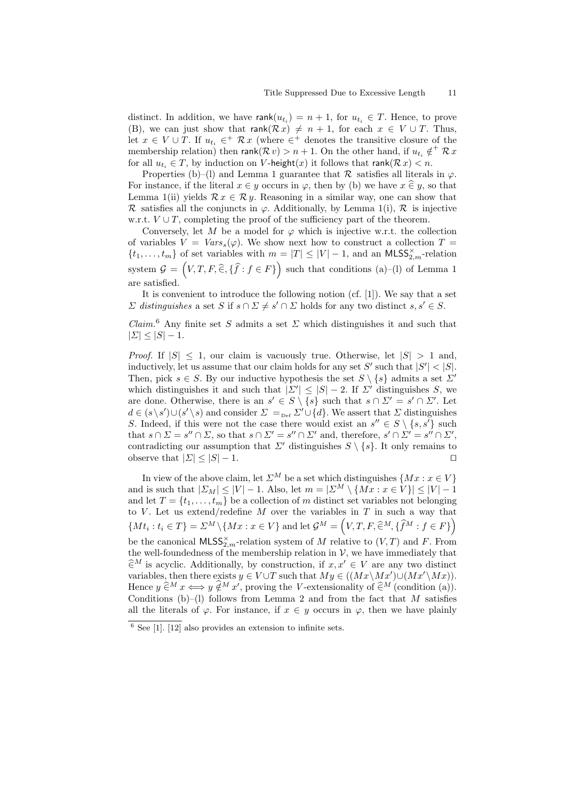distinct. In addition, we have  $rank(u_{t_i}) = n + 1$ , for  $u_{t_i} \in T$ . Hence, to prove (B), we can just show that  $rank(R x) \neq n + 1$ , for each  $x \in V \cup T$ . Thus, let  $x \in V \cup T$ . If  $u_{t_i} \in^+ \mathcal{R}x$  (where  $\in^+$  denotes the transitive closure of the membership relation) then  $\mathsf{rank}(\mathcal{R} v) > n+1$ . On the other hand, if  $u_{t_i} \notin^+ \mathcal{R} x$ for all  $u_{t_i} \in T$ , by induction on V-height $(x)$  it follows that rank $(\mathcal{R} x) < n$ .

Properties (b)–(l) and Lemma 1 guarantee that  $\mathcal R$  satisfies all literals in  $\varphi$ . For instance, if the literal  $x \in y$  occurs in  $\varphi$ , then by (b) we have  $x \in y$ , so that Lemma 1(ii) yields  $\mathcal{R} x \in \mathcal{R} y$ . Reasoning in a similar way, one can show that R satisfies all the conjuncts in  $\varphi$ . Additionally, by Lemma 1(i), R is injective w.r.t.  $V \cup T$ , completing the proof of the sufficiency part of the theorem.

Conversely, let M be a model for  $\varphi$  which is injective w.r.t. the collection of variables  $V = Vars_s(\varphi)$ . We show next how to construct a collection  $T =$  $\{t_1, \ldots, t_m\}$  of set variables with  $m = |T| \leq |V| - 1$ , and an MLSS<sub>2,m</sub>-relation system  $\mathcal{G} = (V, T, F, \widehat{\in}, \{\widehat{f} : f \in F\})$  such that conditions (a)–(l) of Lemma 1 are satisfied.

It is convenient to introduce the following notion (cf. [1]). We say that a set  $\Sigma$  distinguishes a set S if  $s \cap \Sigma \neq s' \cap \Sigma$  holds for any two distinct  $s, s' \in S$ .

 $Claim.6$  Any finite set S admits a set  $\Sigma$  which distinguishes it and such that  $|\Sigma| \leq |S| - 1.$ 

*Proof.* If  $|S| \leq 1$ , our claim is vacuously true. Otherwise, let  $|S| > 1$  and, inductively, let us assume that our claim holds for any set S' such that  $|S'| < |S|$ . Then, pick  $s \in S$ . By our inductive hypothesis the set  $S \setminus \{s\}$  admits a set  $\Sigma'$ which distinguishes it and such that  $|\Sigma'| \leq |S| - 2$ . If  $\Sigma'$  distinguishes S, we are done. Otherwise, there is an  $s' \in S \setminus \{s\}$  such that  $s \cap \Sigma' = s' \cap \Sigma'$ . Let  $d \in (s \setminus s') \cup (s' \setminus s)$  and consider  $\Sigma = \text{Def } \Sigma' \cup \{d\}$ . We assert that  $\Sigma$  distinguishes S. Indeed, if this were not the case there would exist an  $s'' \in S \setminus \{s, s'\}$  such that  $s \cap \Sigma = s'' \cap \Sigma$ , so that  $s \cap \Sigma' = s'' \cap \Sigma'$  and, therefore,  $s' \cap \Sigma' = s'' \cap \Sigma'$ , contradicting our assumption that  $\Sigma'$  distinguishes  $S \setminus \{s\}$ . It only remains to observe that  $|\Sigma| \leq |S| - 1$ .

In view of the above claim, let  $\Sigma^M$  be a set which distinguishes  $\{Mx : x \in V\}$ and is such that  $|\Sigma_M| \leq |V| - 1$ . Also, let  $m = |\Sigma^M \setminus {\{Mx : x \in V\}}| \leq |V| - 1$ and let  $T = \{t_1, \ldots, t_m\}$  be a collection of m distinct set variables not belonging to V. Let us extend/redefine  $M$  over the variables in  $T$  in such a way that  ${M t_i : t_i \in T} = \sum^M \setminus {M x : x \in V}$  and let  $\mathcal{G}^M = (V, T, F, \widehat{\in}^M, {\widehat{f}^M : f \in F})$ be the canonical  $\textsf{MLSS}^\times_{2,m}$ -relation system of M relative to  $(V,T)$  and F. From the well-foundedness of the membership relation in  $\mathcal{V}$ , we have immediately that  $\hat{\in}^M$  is acyclic. Additionally, by construction, if  $x, x' \in V$  are any two distinct variables, then there exists  $y \in V \cup T$  such that  $My \in ((Mx \setminus Mx') \cup (Mx' \setminus Mx))$ . Hence  $y \in M$   $x \leftrightarrow y \notin M$  x', proving the V-extensionality of  $\hat{\in}M$  (condition (a)). Conditions (b)–(l) follows from Lemma 2 and from the fact that  $M$  satisfies all the literals of  $\varphi$ . For instance, if  $x \in y$  occurs in  $\varphi$ , then we have plainly

 $6$  See [1]. [12] also provides an extension to infinite sets.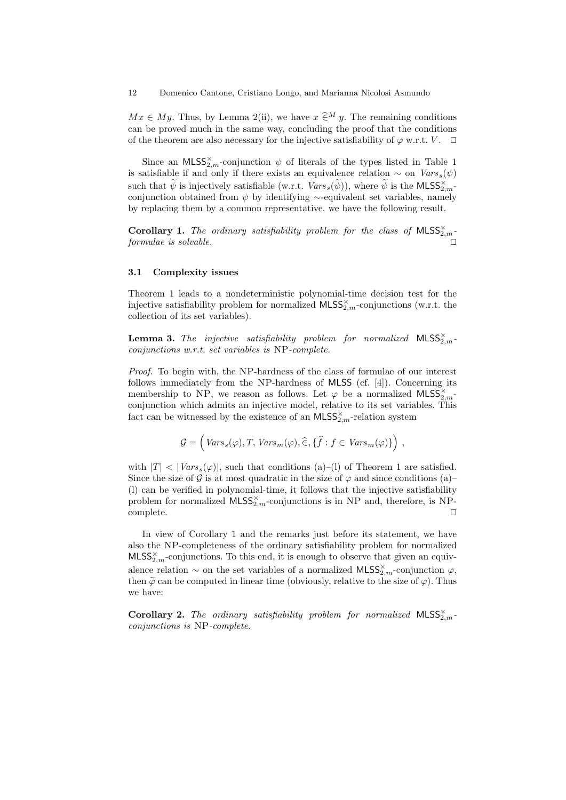$Mx \in My$ . Thus, by Lemma 2(ii), we have  $x \in M$  y. The remaining conditions can be proved much in the same way, concluding the proof that the conditions of the theorem are also necessary for the injective satisfiability of  $\varphi$  w.r.t.  $V$ .  $\Box$ 

Since an  $MLSS^{\times}_{2,m}$ -conjunction  $\psi$  of literals of the types listed in Table 1 is satisfiable if and only if there exists an equivalence relation  $\sim$  on  $Vars_s(\psi)$ such that  $\widetilde{\psi}$  is injectively satisfiable (w.r.t.  $Vars_s(\widetilde{\psi})$ ), where  $\widetilde{\psi}$  is the MLSS $_{2,m}^{\times}$ conjunction obtained from  $\psi$  by identifying ∼-equivalent set variables, namely by replacing them by a common representative, we have the following result.

**Corollary 1.** The ordinary satisfiability problem for the class of  $MLSS_{2,m}^{\times}$ .  $formulae$  is solvable.

#### 3.1 Complexity issues

Theorem 1 leads to a nondeterministic polynomial-time decision test for the injective satisfiability problem for normalized  $\textsf{MLSS}^{\times}_{2,m}$ -conjunctions (w.r.t. the collection of its set variables).

**Lemma 3.** The injective satisfiability problem for normalized  $MLSS_{2,m}^{\times}$ . conjunctions w.r.t. set variables is NP-complete.

Proof. To begin with, the NP-hardness of the class of formulae of our interest follows immediately from the NP-hardness of MLSS (cf. [4]). Concerning its membership to NP, we reason as follows. Let  $\varphi$  be a normalized MLSS<sub>2,m</sub>conjunction which admits an injective model, relative to its set variables. This fact can be witnessed by the existence of an  $\text{MLSS}_{2,m}^{\times}$ -relation system

$$
\mathcal{G} = \left( Vars_s(\varphi), T, Vars_m(\varphi), \widehat{\in}, \{\widehat{f} : f \in Vars_m(\varphi)\}\right),
$$

with  $|T| < |Vars_s(\varphi)|$ , such that conditions (a)–(1) of Theorem 1 are satisfied. Since the size of  $\mathcal G$  is at most quadratic in the size of  $\varphi$  and since conditions (a)– (l) can be verified in polynomial-time, it follows that the injective satisfiability problem for normalized  $MLSS^{\times}_{2,m}$ -conjunctions is in NP and, therefore, is NPcomplete.  $\hfill\Box$ 

In view of Corollary 1 and the remarks just before its statement, we have also the NP-completeness of the ordinary satisfiability problem for normalized  $MLSS_{2,m}^{\times}$ -conjunctions. To this end, it is enough to observe that given an equivalence relation  $\sim$  on the set variables of a normalized MLSS<sub>2,*m*</sub>-conjunction  $\varphi$ , then  $\tilde{\varphi}$  can be computed in linear time (obviously, relative to the size of  $\varphi$ ). Thus we have:

**Corollary 2.** The ordinary satisfiability problem for normalized MLSS $_{2,m}^{\times}$ . conjunctions is NP-complete.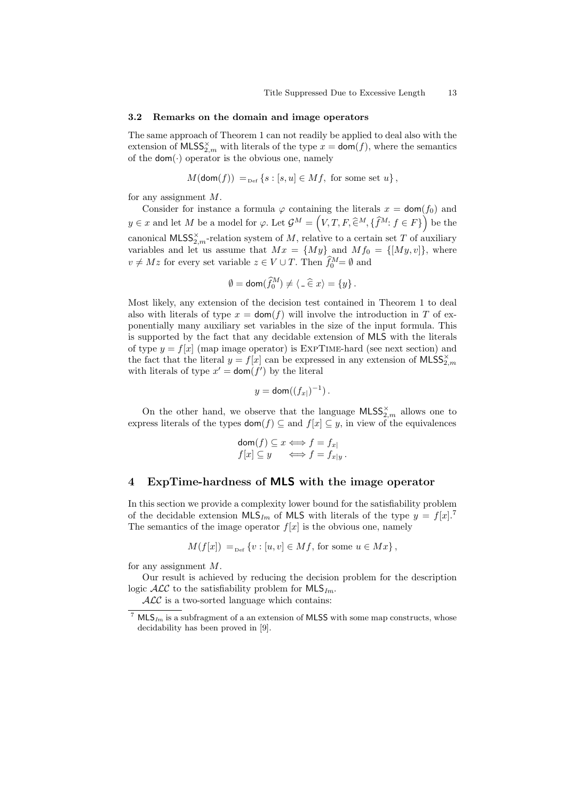#### 3.2 Remarks on the domain and image operators

The same approach of Theorem 1 can not readily be applied to deal also with the extension of  $\text{MLSS}_{2,m}^{\times}$  with literals of the type  $x = \text{dom}(f)$ , where the semantics of the  $\mathsf{dom}(\cdot)$  operator is the obvious one, namely

$$
M(\text{dom}(f)) =_{\text{Def}} \{ s : [s, u] \in Mf, \text{ for some set } u \},
$$

for any assignment M.

Consider for instance a formula  $\varphi$  containing the literals  $x = \text{dom}(f_0)$  and  $y \in x$  and let M be a model for  $\varphi$ . Let  $\mathcal{G}^M = \left(V, T, F, \widehat{\in}^M, \{\widehat{f}^M : f \in F\}\right)$  be the canonical  $\textsf{MLSS}^\times_{2,m}$ -relation system of M, relative to a certain set T of auxiliary variables and let us assume that  $Mx = \{My\}$  and  $Mf_0 = \{[My, v]\},$  where  $v \neq Mz$  for every set variable  $z \in V \cup T$ . Then  $\hat{f}_0^M = \emptyset$  and

$$
\emptyset = \text{dom}(\widehat{f}_0^M) \neq \langle \, \_ \in x \rangle = \{y\}.
$$

Most likely, any extension of the decision test contained in Theorem 1 to deal also with literals of type  $x = \text{dom}(f)$  will involve the introduction in T of exponentially many auxiliary set variables in the size of the input formula. This is supported by the fact that any decidable extension of MLS with the literals of type  $y = f[x]$  (map image operator) is EXPTIME-hard (see next section) and the fact that the literal  $y = f[x]$  can be expressed in any extension of  $MLSS^{\times}_{2,m}$ with literals of type  $x' = \text{dom}(f')$  by the literal

$$
y = \text{dom}((f_{x|})^{-1}).
$$

On the other hand, we observe that the language  $\text{MLSS}_{2,m}^\times$  allows one to express literals of the types  $\text{dom}(f) \subseteq$  and  $f[x] \subseteq y$ , in view of the equivalences

$$
\text{dom}(f) \subseteq x \iff f = f_{x|}
$$
  

$$
f[x] \subseteq y \iff f = f_{x|y}.
$$

# 4 ExpTime-hardness of MLS with the image operator

In this section we provide a complexity lower bound for the satisfiability problem of the decidable extension  $MLS_{Im}$  of MLS with literals of the type  $y = f[x]$ .<sup>7</sup> The semantics of the image operator  $f[x]$  is the obvious one, namely

$$
M(f[x]) =_{\text{Def}} \{v : [u, v] \in Mf, \text{ for some } u \in Mx\},\
$$

for any assignment  $M$ .

Our result is achieved by reducing the decision problem for the description logic  $\mathcal{ALC}$  to the satisfiability problem for  $\mathsf{MLS}_{Im}$ .

 $\mathcal{ALC}$  is a two-sorted language which contains:

<sup>&</sup>lt;sup>7</sup> MLS<sub>Im</sub> is a subfragment of a an extension of MLSS with some map constructs, whose decidability has been proved in [9].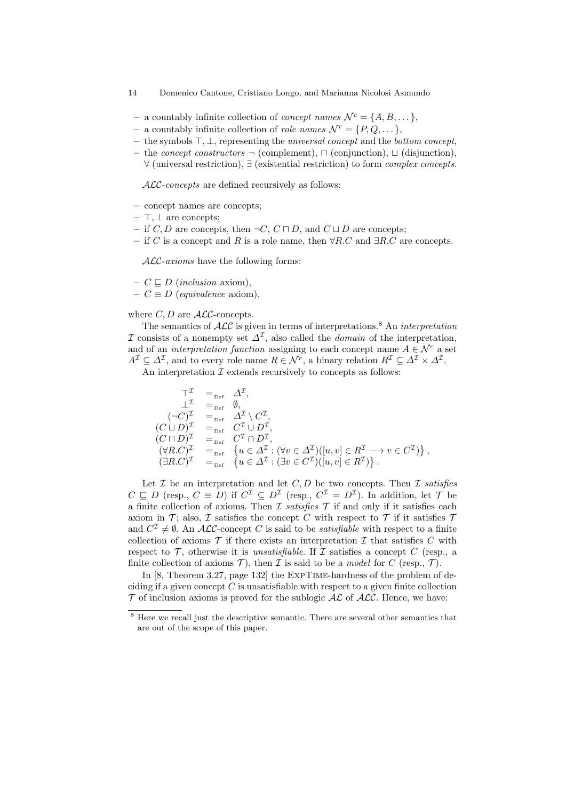- 14 Domenico Cantone, Cristiano Longo, and Marianna Nicolosi Asmundo
- a countably infinite collection of *concept names*  $\mathcal{N}^c = \{A, B, \dots\},\$
- a countably infinite collection of *role names*  $\mathcal{N}^r = \{P, Q, \dots\},\$
- the symbols  $\top$ ,  $\bot$ , representing the *universal concept* and the *bottom concept*,
- the *concept constructors*  $\neg$  (complement),  $\neg$  (conjunction),  $\Box$  (disjunction), ∀ (universal restriction), ∃ (existential restriction) to form complex concepts.

ALC-concepts are defined recursively as follows:

- concept names are concepts;
- $\top$ , ⊥ are concepts;
- if C, D are concepts, then  $\neg C$ ,  $C \sqcap D$ , and  $C \sqcup D$  are concepts;
- if C is a concept and R is a role name, then  $\forall R.C$  and  $\exists R.C$  are concepts.

ALC-axioms have the following forms:

- $C \sqsubset D$  (inclusion axiom),
- $-C \equiv D$  (equivalence axiom),

#### where  $C, D$  are  $\mathcal{ALC}$ -concepts.

The semantics of  $\mathcal{ALC}$  is given in terms of interpretations.<sup>8</sup> An *interpretation* I consists of a nonempty set  $\Delta^{\mathcal{I}}$ , also called the *domain* of the interpretation, and of an *interpretation function* assigning to each concept name  $A \in \mathcal{N}^c$  a set  $A^{\mathcal{I}} \subseteq \Delta^{\mathcal{I}}$ , and to every role name  $R \in \mathcal{N}^r$ , a binary relation  $R^{\mathcal{I}} \subseteq \Delta^{\mathcal{I}} \times \Delta^{\mathcal{I}}$ .

An interpretation  $\mathcal I$  extends recursively to concepts as follows:

$$
\begin{array}{rcl}\n\top^{\mathcal{I}} & =_{\mathrm{Def}} & \Delta^{\mathcal{I}}, \\
\bot^{\mathcal{I}} & =_{\mathrm{Def}} & \emptyset, \\
(\neg C)^{\mathcal{I}} & =_{\mathrm{Def}} & \Delta^{\mathcal{I}} \setminus C^{\mathcal{I}}, \\
(C \sqcup D)^{\mathcal{I}} & =_{\mathrm{Def}} & C^{\mathcal{I}} \cup D^{\mathcal{I}}, \\
(C \sqcap D)^{\mathcal{I}} & =_{\mathrm{Def}} & C^{\mathcal{I}} \cap D^{\mathcal{I}}, \\
(\forall R.C)^{\mathcal{I}} & =_{\mathrm{Def}} & \{u \in \Delta^{\mathcal{I}} : (\forall v \in \Delta^{\mathcal{I}})([u, v] \in R^{\mathcal{I}} \longrightarrow v \in C^{\mathcal{I}})\}, \\
(\exists R.C)^{\mathcal{I}} & =_{\mathrm{Def}} & \{u \in \Delta^{\mathcal{I}} : (\exists v \in C^{\mathcal{I}})([u, v] \in R^{\mathcal{I}})\}.\n\end{array}
$$

Let  $\mathcal I$  be an interpretation and let  $C, D$  be two concepts. Then  $\mathcal I$  satisfies  $C \subseteq D$  (resp.,  $C \equiv D$ ) if  $C^{\mathcal{I}} \subseteq D^{\mathcal{I}}$  (resp.,  $C^{\mathcal{I}} = D^{\mathcal{I}}$ ). In addition, let  $\mathcal{T}$  be a finite collection of axioms. Then  $\mathcal I$  satisfies  $\mathcal T$  if and only if it satisfies each axiom in T; also, I satisfies the concept C with respect to T if it satisfies  $T$ and  $C^{\mathcal{I}} \neq \emptyset$ . An ALC-concept C is said to be *satisfiable* with respect to a finite collection of axioms  $\mathcal T$  if there exists an interpretation  $\mathcal I$  that satisfies  $C$  with respect to  $\mathcal T$ , otherwise it is *unsatisfiable*. If  $\mathcal I$  satisfies a concept C (resp., a finite collection of axioms  $\mathcal{T}$ ), then  $\mathcal I$  is said to be a *model* for  $C$  (resp.,  $\mathcal T$ ).

In [8, Theorem 3.27, page 132] the EXPTIME-hardness of the problem of deciding if a given concept  $C$  is unsatisfiable with respect to a given finite collection  $\mathcal T$  of inclusion axioms is proved for the sublogic  $\mathcal {ALC}$  of  $\mathcal{ALC}$ . Hence, we have:

<sup>8</sup> Here we recall just the descriptive semantic. There are several other semantics that are out of the scope of this paper.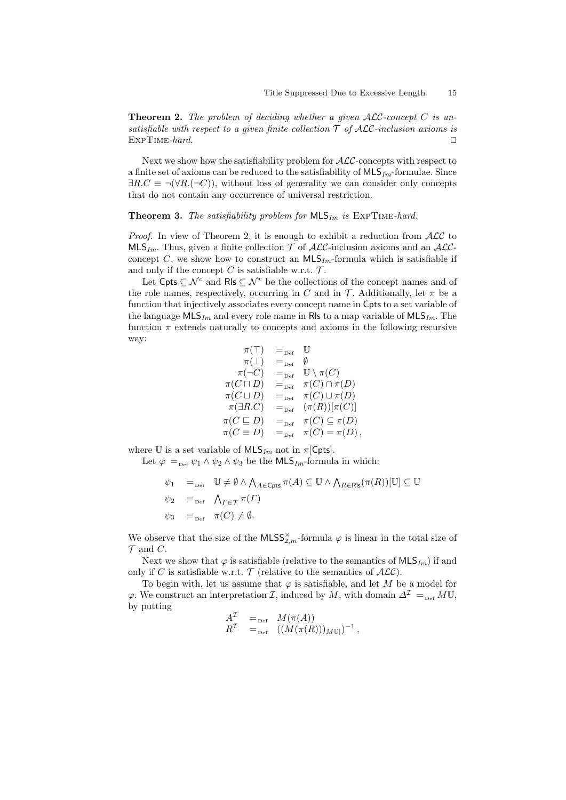**Theorem 2.** The problem of deciding whether a given  $\mathcal{ALC}$ -concept C is unsatisfiable with respect to a given finite collection  $\mathcal T$  of ALC-inclusion axioms is  $\Box$ EXPTIME-hard.  $\Box$ 

Next we show how the satisfiability problem for ALC-concepts with respect to a finite set of axioms can be reduced to the satisfiability of  $MLS_{Im}$ -formulae. Since  $\exists R.C \equiv \neg(\forall R.(\neg C))$ , without loss of generality we can consider only concepts that do not contain any occurrence of universal restriction.

### **Theorem 3.** The satisfiability problem for  $MLS_{Im}$  is EXPTIME-hard.

*Proof.* In view of Theorem 2, it is enough to exhibit a reduction from  $ALC$  to  $MLS_{Im}$ . Thus, given a finite collection  $\mathcal T$  of  $\mathcal{ALC}$ -inclusion axioms and an  $\mathcal{ALC}$ concept C, we show how to construct an  $MLS_{Im}$ -formula which is satisfiable if and only if the concept  $C$  is satisfiable w.r.t.  $\mathcal{T}$ .

Let Cpts  $\subseteq \mathcal{N}^c$  and Rls  $\subseteq \mathcal{N}^r$  be the collections of the concept names and of the role names, respectively, occurring in C and in T. Additionally, let  $\pi$  be a function that injectively associates every concept name in Cpts to a set variable of the language  $MLS_{Im}$  and every role name in Rls to a map variable of  $MLS_{Im}$ . The function  $\pi$  extends naturally to concepts and axioms in the following recursive way:

$$
\begin{array}{rcl}\n\pi(\top) & =_{\text{Def}} & \mathbb{U} \\
\pi(\bot) & =_{\text{Def}} & \emptyset \\
\pi(\neg C) & =_{\text{Def}} & \mathbb{U} \setminus \pi(C) \\
\pi(C \sqcap D) & =_{\text{Def}} & \pi(C) \cap \pi(D) \\
\pi(C \sqcup D) & =_{\text{Def}} & \pi(C) \cup \pi(D) \\
\pi(\exists R.C) & =_{\text{Def}} & (\pi(R))[\pi(C)] \\
\pi(C \sqsubseteq D) & =_{\text{Def}} & \pi(C) \subseteq \pi(D) \\
\pi(C \equiv D) & =_{\text{Def}} & \pi(C) = \pi(D)\n\end{array}
$$

where U is a set variable of  $MLS_{Im}$  not in  $\pi$ [Cpts].

Let  $\varphi =_{\text{Def}} \psi_1 \wedge \psi_2 \wedge \psi_3$  be the MLS<sub>Im</sub>-formula in which:

$$
\psi_1 =_{\text{Def}} \quad \mathbb{U} \neq \emptyset \land \bigwedge_{A \in \text{Cpts}} \pi(A) \subseteq \mathbb{U} \land \bigwedge_{R \in \text{Rls}} (\pi(R))[\mathbb{U}] \subseteq \mathbb{U}
$$
\n
$$
\psi_2 =_{\text{Def}} \quad \bigwedge_{\Gamma \in \mathcal{T}} \pi(\Gamma)
$$
\n
$$
\psi_3 =_{\text{Def}} \quad \pi(C) \neq \emptyset.
$$

We observe that the size of the  $\mathsf{MLSS}_{2,m}^\times$ -formula  $\varphi$  is linear in the total size of  $\mathcal T$  and  $C$ .

Next we show that  $\varphi$  is satisfiable (relative to the semantics of  $MLS_{Im}$ ) if and only if C is satisfiable w.r.t.  $\mathcal T$  (relative to the semantics of  $\mathcal{ALC}$ ).

To begin with, let us assume that  $\varphi$  is satisfiable, and let M be a model for  $\varphi$ . We construct an interpretation *I*, induced by *M*, with domain  $\Delta^{\mathcal{I}} =_{\text{Def}} M \mathbb{U}$ , by putting

$$
\begin{array}{lll} A^{\mathcal{I}} & =_{\text{Def}} & M(\pi(A)) \\ R^{\mathcal{I}} & =_{\text{Def}} & \left( (M(\pi(R)))_{M\mathbb{U}} \right)^{-1}, \end{array}
$$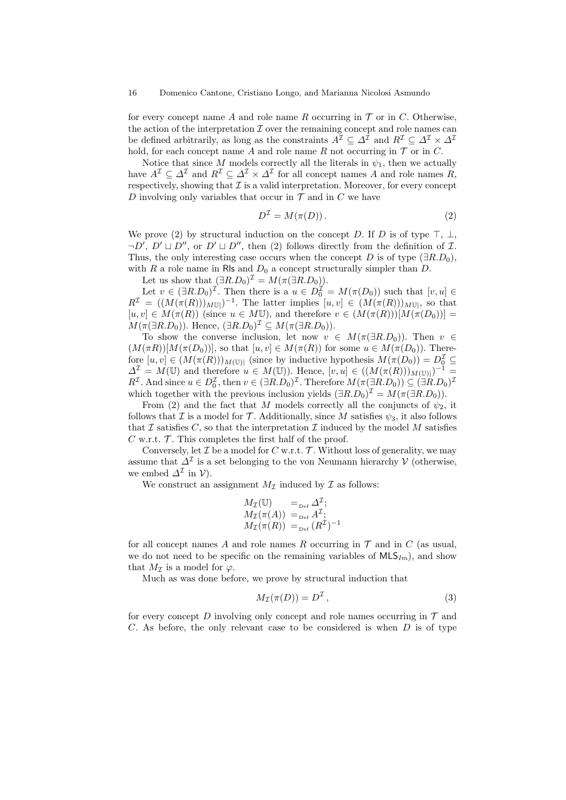for every concept name A and role name R occurring in  $\mathcal T$  or in C. Otherwise, the action of the interpretation  $\mathcal I$  over the remaining concept and role names can be defined arbitrarily, as long as the constraints  $A^{\mathcal{I}} \subseteq \Delta^{\mathcal{I}}$  and  $R^{\mathcal{I}} \subseteq \Delta^{\mathcal{I}} \times \Delta^{\mathcal{I}}$ hold, for each concept name A and role name R not occurring in  $\mathcal T$  or in C.

Notice that since M models correctly all the literals in  $\psi_1$ , then we actually have  $A^{\mathcal{I}} \subseteq \Delta^{\mathcal{I}}$  and  $R^{\mathcal{I}} \subseteq \Delta^{\mathcal{I}} \times \Delta^{\mathcal{I}}$  for all concept names A and role names R, respectively, showing that  $\mathcal I$  is a valid interpretation. Moreover, for every concept D involving only variables that occur in  $\mathcal T$  and in C we have

$$
D^{\mathcal{I}} = M(\pi(D)).\tag{2}
$$

We prove (2) by structural induction on the concept D. If D is of type  $\top$ ,  $\bot$ ,  $\neg D'$ ,  $D' \sqcup D''$ , or  $D' \sqcup D''$ , then (2) follows directly from the definition of  $\mathcal{I}$ . Thus, the only interesting case occurs when the concept D is of type  $(∃R.D<sub>0</sub>)$ , with R a role name in RIs and  $D_0$  a concept structurally simpler than D.

Let us show that  $(\exists R.D_0)^{\mathcal{I}} = M(\pi(\exists R.D_0)).$ 

Let  $v \in (\exists R.D_0)^{\mathcal{I}}$ . Then there is a  $u \in D_0^{\mathcal{I}} = M(\pi(D_0))$  such that  $[v, u] \in$  $R^{\mathcal{I}} = ((M(\pi(R)))_{M\mathbb{U}})^{-1}$ . The latter implies  $[u, v] \in (M(\pi(R)))_{M\mathbb{U}}$ , so that  $[u, v] \in M(\pi(R))$  (since  $u \in M\mathbb{U}$ ), and therefore  $v \in (M(\pi(R)))[M(\pi(D_0))]$  $M(\pi(\exists R.D_0))$ . Hence,  $(\exists R.D_0)^{\mathcal{I}} \subseteq M(\pi(\exists R.D_0))$ .

To show the converse inclusion, let now  $v \in M(\pi(\exists R.D_0))$ . Then  $v \in$  $(M(\pi R))[M(\pi(D_0))]$ , so that  $[u, v] \in M(\pi(R))$  for some  $u \in M(\pi(D_0))$ . Therefore  $[u, v] \in (M(\pi(R)))_{M(\mathbb{U})|}$  (since by inductive hypothesis  $M(\pi(D_0)) = D_0^{\mathcal{I}} \subseteq$  $\Delta^{\mathcal{I}} = M(\mathbb{U})$  and therefore  $u \in M(\mathbb{U})$ . Hence,  $[v, u] \in ((M(\pi(R)))_{M(\mathbb{U})})^{-1}$  $R^{\mathcal{I}}$ . And since  $u \in D_0^{\mathcal{I}}$ , then  $v \in (\exists R.D_0)^{\mathcal{I}}$ . Therefore  $M(\pi(\exists R.D_0)) \subseteq (\exists R.D_0)^{\mathcal{I}}$ which together with the previous inclusion yields  $(\exists R.D_0)^{\mathcal{I}} = M(\pi(\exists R.D_0)).$ 

From (2) and the fact that M models correctly all the conjuncts of  $\psi_2$ , it follows that I is a model for T. Additionally, since M satisfies  $\psi_3$ , it also follows that  $\mathcal I$  satisfies  $C$ , so that the interpretation  $\mathcal I$  induced by the model  $M$  satisfies C w.r.t.  $\mathcal T$ . This completes the first half of the proof.

Conversely, let  $\mathcal I$  be a model for  $C$  w.r.t.  $\mathcal T$ . Without loss of generality, we may assume that  $\Delta^{\mathcal{I}}$  is a set belonging to the von Neumann hierarchy  $\mathcal{V}$  (otherwise, we embed  $\Delta^{\mathcal{I}}$  in  $\mathcal{V}$ ).

We construct an assignment  $M_{\mathcal{I}}$  induced by  $\mathcal I$  as follows:

$$
M_{\mathcal{I}}(\mathbb{U}) =_{\text{Def}} \Delta^{\mathcal{I}};
$$
  
\n
$$
M_{\mathcal{I}}(\pi(A)) =_{\text{Def}} A^{\mathcal{I}};
$$
  
\n
$$
M_{\mathcal{I}}(\pi(R)) =_{\text{Def}} (R^{\mathcal{I}})^{-1}
$$

for all concept names  $A$  and role names  $R$  occurring in  $T$  and in  $C$  (as usual, we do not need to be specific on the remaining variables of  $MLS_{Im}$ , and show that  $M_{\mathcal{I}}$  is a model for  $\varphi$ .

Much as was done before, we prove by structural induction that

$$
M_{\mathcal{I}}(\pi(D)) = D^{\mathcal{I}},\tag{3}
$$

for every concept  $D$  involving only concept and role names occurring in  $\mathcal T$  and  $C$ . As before, the only relevant case to be considered is when  $D$  is of type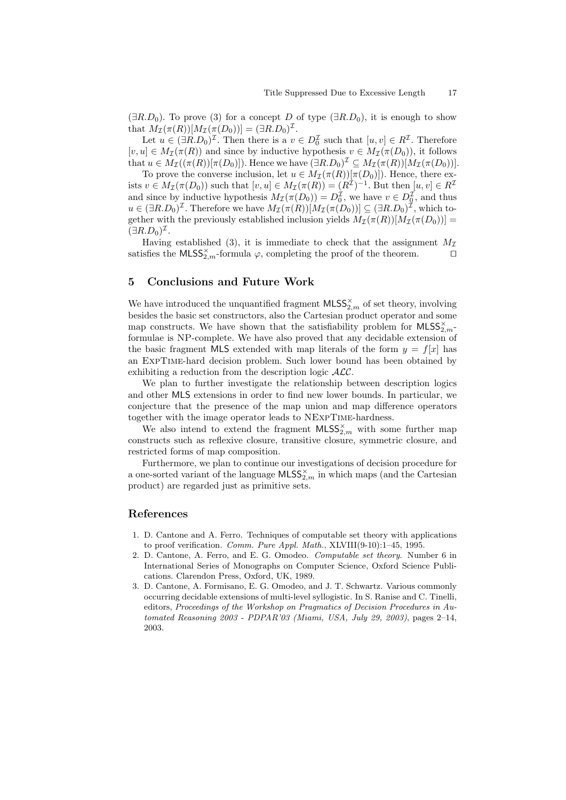$(\exists R.D_0)$ . To prove (3) for a concept D of type  $(\exists R.D_0)$ , it is enough to show that  $M_{\mathcal{I}}(\pi(R))[M_{\mathcal{I}}(\pi(D_0))] = (\exists R.D_0)^{\mathcal{I}}$ .

Let  $u \in (\exists R.D_0)^{\mathcal{I}}$ . Then there is a  $v \in D_0^{\mathcal{I}}$  such that  $[u, v] \in R^{\mathcal{I}}$ . Therefore  $[v, u] \in M_{\mathcal{I}}(\pi(R))$  and since by inductive hypothesis  $v \in M_{\mathcal{I}}(\pi(D_0))$ , it follows that  $u \in M_{\mathcal{I}}((\pi(R))[\pi(D_0)])$ . Hence we have  $(\exists R.D_0)^{\mathcal{I}} \subseteq M_{\mathcal{I}}(\pi(R))[M_{\mathcal{I}}(\pi(D_0))]$ .

To prove the converse inclusion, let  $u \in M_{\mathcal{I}}(\pi(R))[\pi(D_0)]$ . Hence, there exists  $v \in M_{\mathcal{I}}(\pi(D_0))$  such that  $[v, u] \in M_{\mathcal{I}}(\pi(R)) = (R^{\mathcal{I}})^{-1}$ . But then  $[u, v] \in R^{\mathcal{I}}$ and since by inductive hypothesis  $M_{\mathcal{I}}(\pi(D_0)) = D_0^{\mathcal{I}}$ , we have  $v \in D_0^{\mathcal{I}}$ , and thus  $u \in (\exists R.D_0)^{\mathcal{I}}$ . Therefore we have  $M_{\mathcal{I}}(\pi(R))[M_{\mathcal{I}}(\pi(D_0))] \subseteq (\exists R.D_0)^{\mathcal{I}}$ , which together with the previously established inclusion yields  $M_{\mathcal{I}}(\pi(R))[M_{\mathcal{I}}(\pi(D_0))] =$  $(\exists R.D_0)^{\mathcal{I}}.$ 

Having established (3), it is immediate to check that the assignment  $M_{\mathcal{I}}$ satisfies the MLSS<sub>2</sub><sup>\*</sup><sub>m</sub>-formula  $\varphi$ , completing the proof of the theorem.  $\square$ 

## 5 Conclusions and Future Work

We have introduced the unquantified fragment  $\textsf{MLSS}_{2,m}^\times$  of set theory, involving besides the basic set constructors, also the Cartesian product operator and some map constructs. We have shown that the satisfiability problem for  $MLSS_{2,m}^{\times}$ formulae is NP-complete. We have also proved that any decidable extension of the basic fragment MLS extended with map literals of the form  $y = f[x]$  has an ExpTime-hard decision problem. Such lower bound has been obtained by exhibiting a reduction from the description logic  $\mathcal{ALC}$ .

We plan to further investigate the relationship between description logics and other MLS extensions in order to find new lower bounds. In particular, we conjecture that the presence of the map union and map difference operators together with the image operator leads to NExpTime-hardness.

We also intend to extend the fragment  $\mathsf{MLSS}_{2,m}^\times$  with some further map constructs such as reflexive closure, transitive closure, symmetric closure, and restricted forms of map composition.

Furthermore, we plan to continue our investigations of decision procedure for a one-sorted variant of the language  $\textsf{MLSS}^{\times}_{2,m}$  in which maps (and the Cartesian product) are regarded just as primitive sets.

### References

- 1. D. Cantone and A. Ferro. Techniques of computable set theory with applications to proof verification. Comm. Pure Appl. Math., XLVIII(9-10):1–45, 1995.
- 2. D. Cantone, A. Ferro, and E. G. Omodeo. Computable set theory. Number 6 in International Series of Monographs on Computer Science, Oxford Science Publications. Clarendon Press, Oxford, UK, 1989.
- 3. D. Cantone, A. Formisano, E. G. Omodeo, and J. T. Schwartz. Various commonly occurring decidable extensions of multi-level syllogistic. In S. Ranise and C. Tinelli, editors, Proceedings of the Workshop on Pragmatics of Decision Procedures in Automated Reasoning 2003 - PDPAR'03 (Miami, USA, July 29, 2003), pages 2–14, 2003.